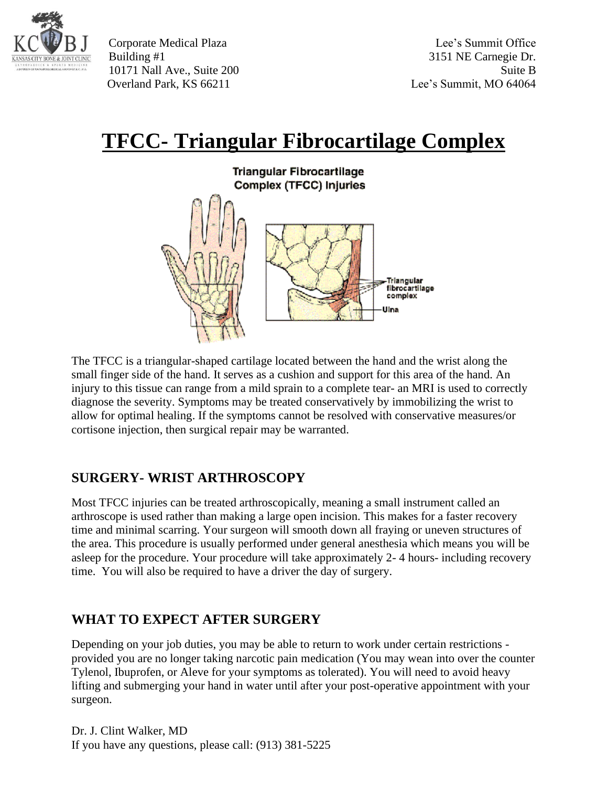

Corporate Medical Plaza Lee's Summit Office Building #1 3151 NE Carnegie Dr. 10171 Nall Ave., Suite 200 Suite B Overland Park, KS 66211 Lee's Summit, MO 64064

## **TFCC- Triangular Fibrocartilage Complex**



The TFCC is a triangular-shaped cartilage located between the hand and the wrist along the small finger side of the hand. It serves as a cushion and support for this area of the hand. An injury to this tissue can range from a mild sprain to a complete tear- an MRI is used to correctly diagnose the severity. Symptoms may be treated conservatively by immobilizing the wrist to allow for optimal healing. If the symptoms cannot be resolved with conservative measures/or cortisone injection, then surgical repair may be warranted.

## **SURGERY- WRIST ARTHROSCOPY**

Most TFCC injuries can be treated arthroscopically, meaning a small instrument called an arthroscope is used rather than making a large open incision. This makes for a faster recovery time and minimal scarring. Your surgeon will smooth down all fraying or uneven structures of the area. This procedure is usually performed under general anesthesia which means you will be asleep for the procedure. Your procedure will take approximately 2- 4 hours- including recovery time. You will also be required to have a driver the day of surgery.

## **WHAT TO EXPECT AFTER SURGERY**

Depending on your job duties, you may be able to return to work under certain restrictions provided you are no longer taking narcotic pain medication (You may wean into over the counter Tylenol, Ibuprofen, or Aleve for your symptoms as tolerated). You will need to avoid heavy lifting and submerging your hand in water until after your post-operative appointment with your surgeon.